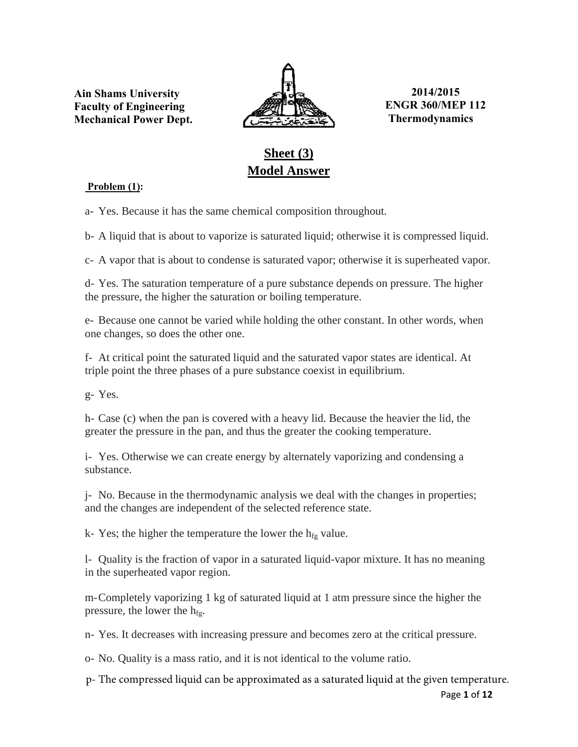**Ain Shams University Faculty of Engineering Mechanical Power Dept.**



**2014/2015 ENGR 360/MEP 112 Thermodynamics**

# **Sheet (3) Model Answer**

## **Problem (1):**

a- Yes. Because it has the same chemical composition throughout.

b- A liquid that is about to vaporize is saturated liquid; otherwise it is compressed liquid.

c- A vapor that is about to condense is saturated vapor; otherwise it is superheated vapor.

d- Yes. The saturation temperature of a pure substance depends on pressure. The higher the pressure, the higher the saturation or boiling temperature.

e- Because one cannot be varied while holding the other constant. In other words, when one changes, so does the other one.

f- At critical point the saturated liquid and the saturated vapor states are identical. At triple point the three phases of a pure substance coexist in equilibrium.

g- Yes.

h- Case (c) when the pan is covered with a heavy lid. Because the heavier the lid, the greater the pressure in the pan, and thus the greater the cooking temperature.

i- Yes. Otherwise we can create energy by alternately vaporizing and condensing a substance.

j- No. Because in the thermodynamic analysis we deal with the changes in properties; and the changes are independent of the selected reference state.

k- Yes; the higher the temperature the lower the  $h_{fg}$  value.

l- Quality is the fraction of vapor in a saturated liquid-vapor mixture. It has no meaning in the superheated vapor region.

m-Completely vaporizing 1 kg of saturated liquid at 1 atm pressure since the higher the pressure, the lower the  $h_{fg}$ .

n- Yes. It decreases with increasing pressure and becomes zero at the critical pressure.

o- No. Quality is a mass ratio, and it is not identical to the volume ratio.

p- The compressed liquid can be approximated as a saturated liquid at the given temperature.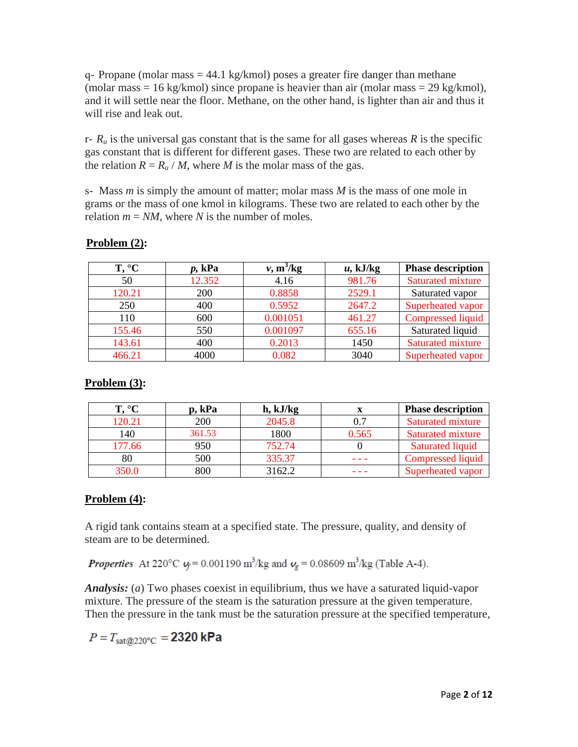q- Propane (molar mass  $= 44.1 \text{ kg/kmol}$ ) poses a greater fire danger than methane (molar mass  $= 16$  kg/kmol) since propane is heavier than air (molar mass  $= 29$  kg/kmol), and it will settle near the floor. Methane, on the other hand, is lighter than air and thus it will rise and leak out.

 $r - R_u$  is the universal gas constant that is the same for all gases whereas  $R$  is the specific gas constant that is different for different gases. These two are related to each other by the relation  $R = R_u / M$ , where *M* is the molar mass of the gas.

s- Mass *m* is simply the amount of matter; molar mass *M* is the mass of one mole in grams or the mass of one kmol in kilograms. These two are related to each other by the relation  $m = NM$ , where *N* is the number of moles.

| T, °C  | p, kPa | $\nu$ , m <sup>3</sup> /kg | $u$ , kJ/kg | <b>Phase description</b> |
|--------|--------|----------------------------|-------------|--------------------------|
| 50     | 12.352 | 4.16                       | 981.76      | <b>Saturated mixture</b> |
| 120.21 | 200    | 0.8858                     | 2529.1      | Saturated vapor          |
| 250    | 400    | 0.5952                     | 2647.2      | Superheated vapor        |
| 110    | 600    | 0.001051                   | 461.27      | <b>Compressed liquid</b> |
| 155.46 | 550    | 0.001097                   | 655.16      | Saturated liquid         |
| 143.61 | 400    | 0.2013                     | 1450        | <b>Saturated mixture</b> |
| 466.21 | 4000   | 0.082                      | 3040        | Superheated vapor        |

## **Problem (2):**

# **Problem (3):**

| Γ°∩    | p, kPa | h, kJ/kg |       | <b>Phase description</b> |
|--------|--------|----------|-------|--------------------------|
| 120.21 | 200    | 2045.8   | 0.7   | <b>Saturated mixture</b> |
| 140    | 361.53 | 1800     | 0.565 | Saturated mixture        |
| 177.66 | 950    | 752.74   |       | Saturated liquid         |
| 80     | 500    | 335.37   |       | <b>Compressed liquid</b> |
| 350.0  | 800    | 3162.2   |       | Superheated vapor        |

## **Problem (4):**

A rigid tank contains steam at a specified state. The pressure, quality, and density of steam are to be determined.

**Properties** At 220°C  $\psi$  = 0.001190 m<sup>3</sup>/kg and  $\psi$ <sub>g</sub> = 0.08609 m<sup>3</sup>/kg (Table A-4).

*Analysis:* (*a*) Two phases coexist in equilibrium, thus we have a saturated liquid-vapor mixture. The pressure of the steam is the saturation pressure at the given temperature. Then the pressure in the tank must be the saturation pressure at the specified temperature,

 $P = T_{sat@220^{\circ}C} = 2320$  kPa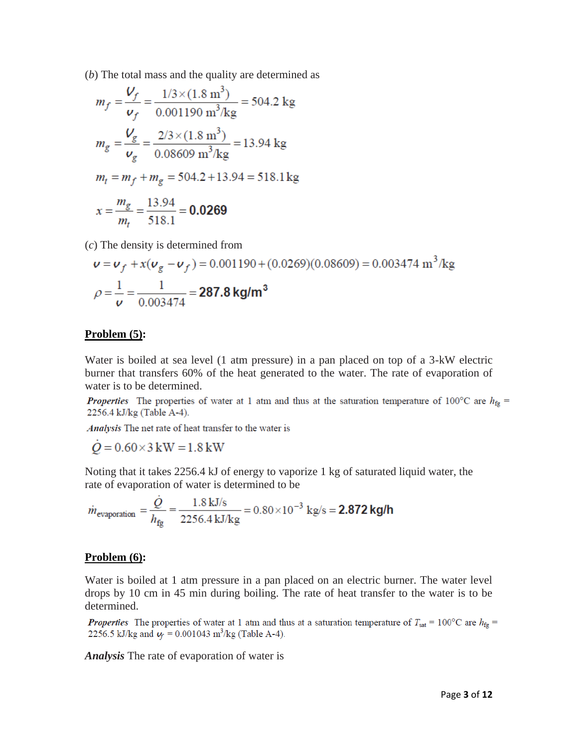(*b*) The total mass and the quality are determined as

$$
m_f = \frac{V_f}{v_f} = \frac{1/3 \times (1.8 \text{ m}^3)}{0.001190 \text{ m}^3/\text{kg}} = 504.2 \text{ kg}
$$
  

$$
m_g = \frac{V_g}{v_g} = \frac{2/3 \times (1.8 \text{ m}^3)}{0.08609 \text{ m}^3/\text{kg}} = 13.94 \text{ kg}
$$
  

$$
m_t = m_f + m_g = 504.2 + 13.94 = 518.1 \text{ kg}
$$
  

$$
x = \frac{m_g}{m_t} = \frac{13.94}{518.1} = 0.0269
$$

(*c*) The density is determined from

$$
\mathbf{v} = \mathbf{v}_f + x(\mathbf{v}_g - \mathbf{v}_f) = 0.001190 + (0.0269)(0.08609) = 0.003474 \text{ m}^3/\text{kg}
$$

$$
\rho = \frac{1}{\mathbf{v}} = \frac{1}{0.003474} = 287.8 \text{ kg/m}^3
$$

#### **Problem (5):**

Water is boiled at sea level (1 atm pressure) in a pan placed on top of a 3-kW electric burner that transfers 60% of the heat generated to the water. The rate of evaporation of water is to be determined.

*Properties* The properties of water at 1 atm and thus at the saturation temperature of 100°C are  $h_{\text{fg}}$  = 2256.4 kJ/kg (Table A-4).

Analysis The net rate of heat transfer to the water is

 $\dot{Q} = 0.60 \times 3 \text{ kW} = 1.8 \text{ kW}$ 

Noting that it takes 2256.4 kJ of energy to vaporize 1 kg of saturated liquid water, the rate of evaporation of water is determined to be

$$
\dot{m}_{\text{evaporation}} = \frac{\dot{Q}}{h_{\text{fg}}} = \frac{1.8 \text{ kJ/s}}{2256.4 \text{ kJ/kg}} = 0.80 \times 10^{-3} \text{ kg/s} = 2.872 \text{ kg/h}
$$

#### **Problem (6):**

Water is boiled at 1 atm pressure in a pan placed on an electric burner. The water level drops by 10 cm in 45 min during boiling. The rate of heat transfer to the water is to be determined.

*Properties* The properties of water at 1 atm and thus at a saturation temperature of  $T_{\text{sat}} = 100^{\circ}\text{C}$  are  $h_{\text{fg}} =$ 2256.5 kJ/kg and  $v_f = 0.001043$  m<sup>3</sup>/kg (Table A-4).

*Analysis* The rate of evaporation of water is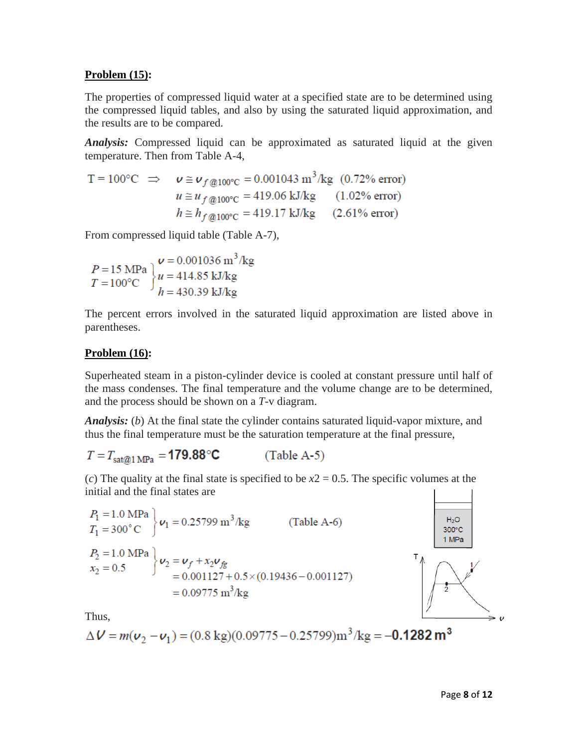#### **Problem (15):**

The properties of compressed liquid water at a specified state are to be determined using the compressed liquid tables, and also by using the saturated liquid approximation, and the results are to be compared.

*Analysis:* Compressed liquid can be approximated as saturated liquid at the given temperature. Then from Table A-4,

$$
T = 100^{\circ}\text{C} \implies \nu \cong \nu_{f@100^{\circ}\text{C}} = 0.001043 \text{ m}^{3}/\text{kg} \quad (0.72\% \text{ error})
$$
  

$$
u \cong u_{f@100^{\circ}\text{C}} = 419.06 \text{ kJ/kg} \quad (1.02\% \text{ error})
$$
  

$$
h \cong h_{f@100^{\circ}\text{C}} = 419.17 \text{ kJ/kg} \quad (2.61\% \text{ error})
$$

From compressed liquid table (Table A-7),

$$
P = 15 \text{ MPa} T = 100^{\circ}\text{C}
$$
 
$$
u = 414.85 \text{ kJ/kg} h = 430.39 \text{ kJ/kg}
$$

The percent errors involved in the saturated liquid approximation are listed above in parentheses.

## **Problem (16):**

Superheated steam in a piston-cylinder device is cooled at constant pressure until half of the mass condenses. The final temperature and the volume change are to be determined, and the process should be shown on a *T-*v diagram.

*Analysis:* (*b*) At the final state the cylinder contains saturated liquid-vapor mixture, and thus the final temperature must be the saturation temperature at the final pressure,

$$
T = T_{\text{sat@1 MPa}} = \textbf{179.88}^{\circ}\text{C} \quad (\text{Table A-5})
$$

(*c*) The quality at the final state is specified to be  $x^2 = 0.5$ . The specific volumes at the initial and the final states are

$$
P_1 = 1.0 \text{ MPa} \nT_1 = 300^{\circ} \text{C} \quad \text{V}_1 = 0.25799 \text{ m}^3/\text{kg} \qquad \text{(Table A-6)} \nP_2 = 1.0 \text{ MPa} \n x_2 = 0.5 \qquad \text{V}_2 = \frac{\nu_f + x_2 \nu_{fg}}{0.001127 + 0.5 \times (0.19436 - 0.001127)} \n= 0.09775 \text{ m}^3/\text{kg}
$$



Thus,

$$
\Delta V = m(v_2 - v_1) = (0.8 \text{ kg})(0.09775 - 0.25799) \text{m}^3/\text{kg} = -0.1282 \text{ m}^3
$$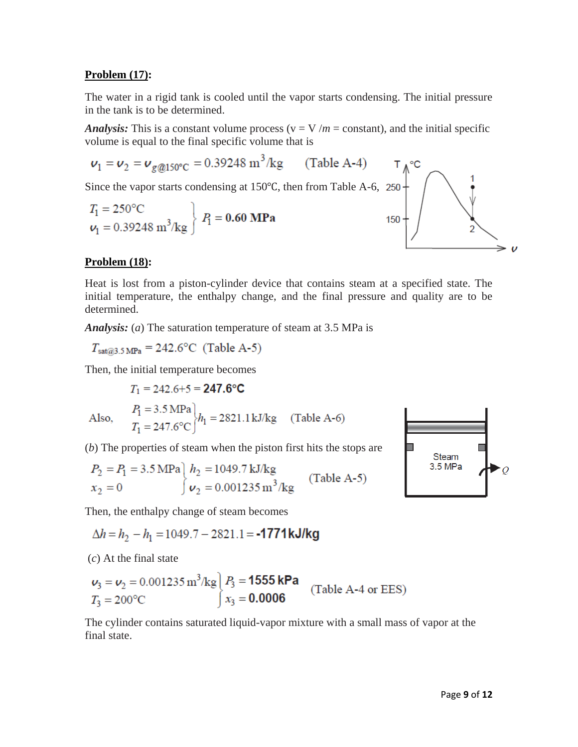## **Problem (17):**

The water in a rigid tank is cooled until the vapor starts condensing. The initial pressure in the tank is to be determined.

*Analysis:* This is a constant volume process ( $v = V/m = constant$ ), and the initial specific volume is equal to the final specific volume that is

 $v_1 = v_2 = v_{g@150^{\circ}C} = 0.39248 \text{ m}^3/\text{kg}$  (Table A-4) Since the vapor starts condensing at 150 °C, then from Table A-6, 250  $T_1 = 250^{\circ}\text{C}$   $\left.\nu_1 = 0.39248 \text{ m}^3/\text{kg}\right\} \text{ } P_1 = \textbf{0.60} \text{ } \textbf{MPa}$ 150  $\boldsymbol{\nu}$ 

## **Problem (18):**

Heat is lost from a piston-cylinder device that contains steam at a specified state. The initial temperature, the enthalpy change, and the final pressure and quality are to be determined.

*Analysis:* (*a*) The saturation temperature of steam at 3.5 MPa is

 $T_{\text{sat@3.5 MPa}} = 242.6^{\circ}\text{C}$  (Table A-5)

Then, the initial temperature becomes

$$
T_1 = 242.6 + 5 = 247.6°C
$$
  
Also, 
$$
P_1 = 3.5 \text{ MPa} \Big|_{h_1} = 2821.1 \text{ kJ/kg} \quad \text{(Table A-6)}
$$

$$
T_1 = 247.6°C \Big|_{h_1} = 2821.1 \text{ kJ/kg} \quad \text{(Table A-6)}
$$

(*b*) The properties of steam when the piston first hits the stops are

$$
P_2 = P_1 = 3.5 \text{ MPa} \left\{ h_2 = 1049.7 \text{ kJ/kg} \atop v_2 = 0.001235 \text{ m}^3/\text{kg} \right\}
$$
 (Table A-5)

Then, the enthalpy change of steam becomes

$$
\Delta h = h_2 - h_1 = 1049.7 - 2821.1 = -1771 \, \text{kJ/kg}
$$

(*c*) At the final state

$$
v_3 = v_2 = 0.001235 \text{ m}^3/\text{kg}
$$
  $P_3 = 1555 \text{ kPa}$  (Table A-4 or EES)  
 $T_3 = 200 \text{°C}$   $x_3 = 0.0006$ 

The cylinder contains saturated liquid-vapor mixture with a small mass of vapor at the final state.

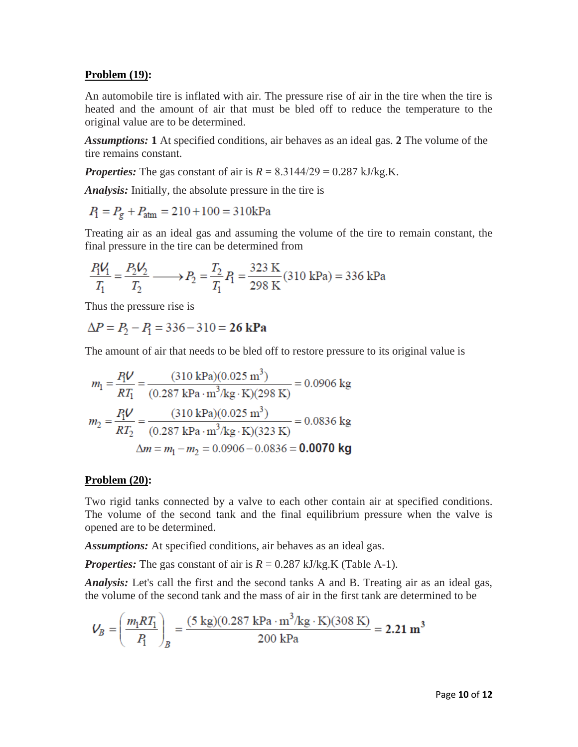#### **Problem (19):**

An automobile tire is inflated with air. The pressure rise of air in the tire when the tire is heated and the amount of air that must be bled off to reduce the temperature to the original value are to be determined.

*Assumptions:* **1** At specified conditions, air behaves as an ideal gas. **2** The volume of the tire remains constant.

*Properties:* The gas constant of air is  $R = 8.3144/29 = 0.287 \text{ kJ/kg.K.}$ 

*Analysis:* Initially, the absolute pressure in the tire is

$$
P_1 = P_g + P_{\text{atm}} = 210 + 100 = 310 \text{kPa}
$$

Treating air as an ideal gas and assuming the volume of the tire to remain constant, the final pressure in the tire can be determined from

$$
\frac{P_1 V_1}{T_1} = \frac{P_2 V_2}{T_2} \longrightarrow P_2 = \frac{T_2}{T_1} P_1 = \frac{323 \text{ K}}{298 \text{ K}} (310 \text{ kPa}) = 336 \text{ kPa}
$$

Thus the pressure rise is

$$
\Delta P = P_2 - P_1 = 336 - 310 = 26 \text{ kPa}
$$

The amount of air that needs to be bled off to restore pressure to its original value is

$$
m_1 = \frac{P_1 V}{RT_1} = \frac{(310 \text{ kPa})(0.025 \text{ m}^3)}{(0.287 \text{ kPa} \cdot \text{m}^3/\text{kg} \cdot \text{K})(298 \text{ K})} = 0.0906 \text{ kg}
$$

$$
m_2 = \frac{P_1 V}{RT_2} = \frac{(310 \text{ kPa})(0.025 \text{ m}^3)}{(0.287 \text{ kPa} \cdot \text{m}^3/\text{kg} \cdot \text{K})(323 \text{ K})} = 0.0836 \text{ kg}
$$

$$
\Delta m = m_1 - m_2 = 0.0906 - 0.0836 = \textbf{0.0070 kg}
$$

#### **Problem (20):**

Two rigid tanks connected by a valve to each other contain air at specified conditions. The volume of the second tank and the final equilibrium pressure when the valve is opened are to be determined.

*Assumptions:* At specified conditions, air behaves as an ideal gas.

*Properties:* The gas constant of air is  $R = 0.287 \text{ kJ/kg}$ . (Table A-1).

*Analysis:* Let's call the first and the second tanks A and B. Treating air as an ideal gas, the volume of the second tank and the mass of air in the first tank are determined to be

$$
V_B = \left(\frac{m_1 R T_1}{P_1}\right)_B = \frac{(5 \text{ kg})(0.287 \text{ kPa} \cdot \text{m}^3/\text{kg} \cdot \text{K})(308 \text{ K})}{200 \text{ kPa}} = 2.21 \text{ m}^3
$$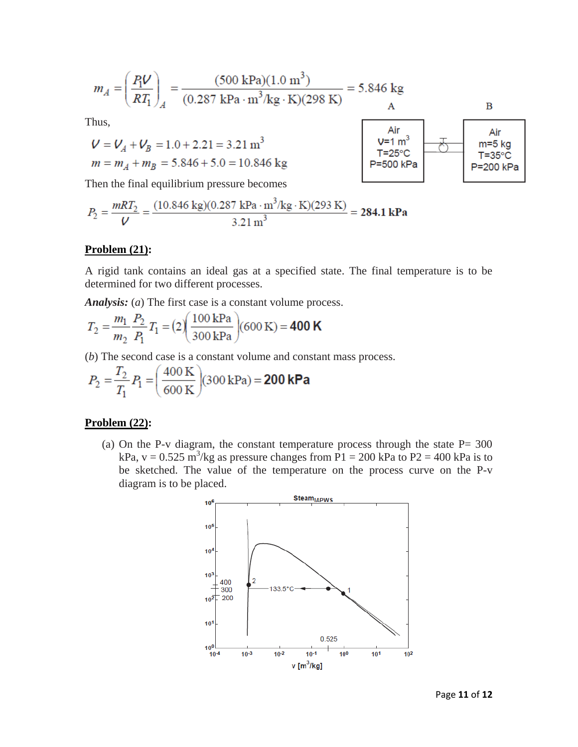$$
m_A = \left(\frac{P_1 V}{RT_1}\right)_A = \frac{(500 \text{ kPa})(1.0 \text{ m}^3)}{(0.287 \text{ kPa} \cdot \text{m}^3/\text{kg} \cdot \text{K})(298 \text{ K})} = 5.846 \text{ kg}
$$
  
A

Thus,

$$
V = V_A + V_B = 1.0 + 2.21 = 3.21 \text{ m}^3
$$
  

$$
m = m_A + m_B = 5.846 + 5.0 = 10.846 \text{ kg}
$$



Then the final equilibrium pressure becomes

$$
P_2 = \frac{mRT_2}{V} = \frac{(10.846 \text{ kg})(0.287 \text{ kPa} \cdot \text{m}^3/\text{kg} \cdot \text{K})(293 \text{ K})}{3.21 \text{ m}^3} = 284.1 \text{ kPa}
$$

#### **Problem (21):**

A rigid tank contains an ideal gas at a specified state. The final temperature is to be determined for two different processes.

*Analysis:* (*a*) The first case is a constant volume process.

$$
T_2 = \frac{m_1}{m_2} \frac{P_2}{P_1} T_1 = (2) \left( \frac{100 \text{ kPa}}{300 \text{ kPa}} \right) (600 \text{ K}) = 400 \text{ K}
$$

(*b*) The second case is a constant volume and constant mass process.

$$
P_2 = \frac{T_2}{T_1} P_1 = \left(\frac{400 \text{ K}}{600 \text{ K}}\right) (300 \text{ kPa}) = 200 \text{ kPa}
$$

#### **Problem (22):**

(a) On the P-v diagram, the constant temperature process through the state  $P= 300$ kPa,  $v = 0.525 \text{ m}^3/\text{kg}$  as pressure changes from P1 = 200 kPa to P2 = 400 kPa is to be sketched. The value of the temperature on the process curve on the P-v diagram is to be placed.